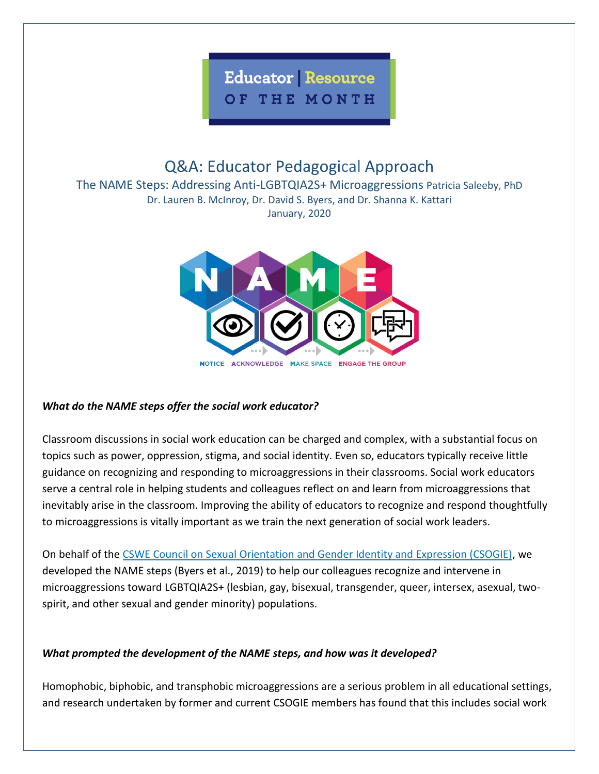

# Q&A: Educator Pedagogical Approach

The NAME Steps: Addressing Anti-LGBTQIA2S+ Microaggressions Patricia Saleeby, PhD Dr. Lauren B. McInroy, Dr. David S. Byers, and Dr. Shanna K. Kattari January, 2020



## *What do the NAME steps offer the social work educator?*

Classroom discussions in social work education can be charged and complex, with a substantial focus on topics such as power, oppression, stigma, and social identity. Even so, educators typically receive little guidance on recognizing and responding to microaggressions in their classrooms. Social work educators serve a central role in helping students and colleagues reflect on and learn from microaggressions that inevitably arise in the classroom. Improving the ability of educators to recognize and respond thoughtfully to microaggressions is vitally important as we train the next generation of social work leaders.

On behalf of the [CSWE Council on Sexual Orientation and Gender Identity and Expression \(CSOGIE\),](https://www.cswe.org/About-CSWE/Governance/Commissions-and-Councils/Commission-for-Diversity-and-Social-and-Economic-J/Council-on-Sexual-Orientation-and-Gender-Identity) we developed the NAME steps (Byers et al., 2019) to help our colleagues recognize and intervene in microaggressions toward LGBTQIA2S+ (lesbian, gay, bisexual, transgender, queer, intersex, asexual, twospirit, and other sexual and gender minority) populations.

## *What prompted the development of the NAME steps, and how was it developed?*

Homophobic, biphobic, and transphobic microaggressions are a serious problem in all educational settings, and research undertaken by former and current CSOGIE members has found that this includes social work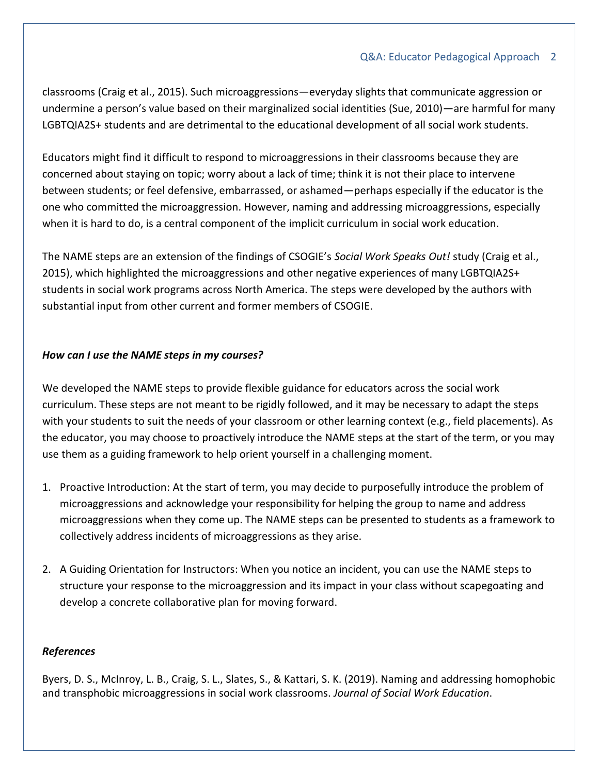#### Q&A: Educator Pedagogical Approach 2

classrooms (Craig et al., 2015). Such microaggressions—everyday slights that communicate aggression or undermine a person's value based on their marginalized social identities (Sue, 2010)—are harmful for many LGBTQIA2S+ students and are detrimental to the educational development of all social work students.

Educators might find it difficult to respond to microaggressions in their classrooms because they are concerned about staying on topic; worry about a lack of time; think it is not their place to intervene between students; or feel defensive, embarrassed, or ashamed—perhaps especially if the educator is the one who committed the microaggression. However, naming and addressing microaggressions, especially when it is hard to do, is a central component of the implicit curriculum in social work education.

The NAME steps are an extension of the findings of CSOGIE's *Social Work Speaks Out!* study (Craig et al., 2015), which highlighted the microaggressions and other negative experiences of many LGBTQIA2S+ students in social work programs across North America. The steps were developed by the authors with substantial input from other current and former members of CSOGIE.

### *How can I use the NAME steps in my courses?*

We developed the NAME steps to provide flexible guidance for educators across the social work curriculum. These steps are not meant to be rigidly followed, and it may be necessary to adapt the steps with your students to suit the needs of your classroom or other learning context (e.g., field placements). As the educator, you may choose to proactively introduce the NAME steps at the start of the term, or you may use them as a guiding framework to help orient yourself in a challenging moment.

- 1. Proactive Introduction: At the start of term, you may decide to purposefully introduce the problem of microaggressions and acknowledge your responsibility for helping the group to name and address microaggressions when they come up. The NAME steps can be presented to students as a framework to collectively address incidents of microaggressions as they arise.
- 2. A Guiding Orientation for Instructors: When you notice an incident, you can use the NAME steps to structure your response to the microaggression and its impact in your class without scapegoating and develop a concrete collaborative plan for moving forward.

#### *References*

Byers, D. S., McInroy, L. B., Craig, S. L., Slates, S., & Kattari, S. K. (2019). Naming and addressing homophobic and transphobic microaggressions in social work classrooms. *Journal of Social Work Education*.